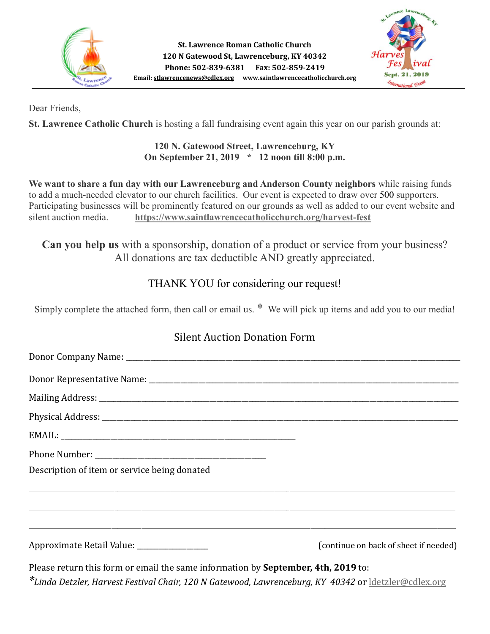



Dear Friends,

**St. Lawrence Catholic Church** is hosting a fall fundraising event again this year on our parish grounds at:

#### **120 N. Gatewood Street, Lawrenceburg, KY On September 21, 2019 \* 12 noon till 8:00 p.m.**

**We want to share a fun day with our Lawrenceburg and Anderson County neighbors** while raising funds to add a much-needed elevator to our church facilities. Our event is expected to draw over 500 supporters. Participating businesses will be prominently featured on our grounds as well as added to our event website and silent auction media. **<https://www.saintlawrencecatholicchurch.org/harvest-fest>**

**Can you help us** with a sponsorship, donation of a product or service from your business? All donations are tax deductible AND greatly appreciated.

## THANK YOU for considering our request!

Simply complete the attached form, then call or email us. \* We will pick up items and add you to our media!

## Silent Auction Donation Form

| Description of item or service being donated                                                                          |                                       |
|-----------------------------------------------------------------------------------------------------------------------|---------------------------------------|
| <u> 1980 - Johann Harry Harry Harry Harry Harry Harry Harry Harry Harry Harry Harry Harry Harry Harry Harry Harry</u> |                                       |
| ,我们也不能会有什么。""我们的人,我们也不能会有什么?""我们的人,我们也不能会有什么?""我们的人,我们也不能会有什么?""我们的人,我们也不能会有什么?""                                     |                                       |
| Approximate Retail Value: _________________                                                                           | (continue on back of sheet if needed) |
| Please return this form or email the same information by September, 4th, 2019 to:                                     |                                       |

*\*Linda Detzler, Harvest Festival Chair, 120 N Gatewood, Lawrenceburg, KY 40342* or [ldetzler@cdlex.org](mailto:ldetzler@cdlex.org)